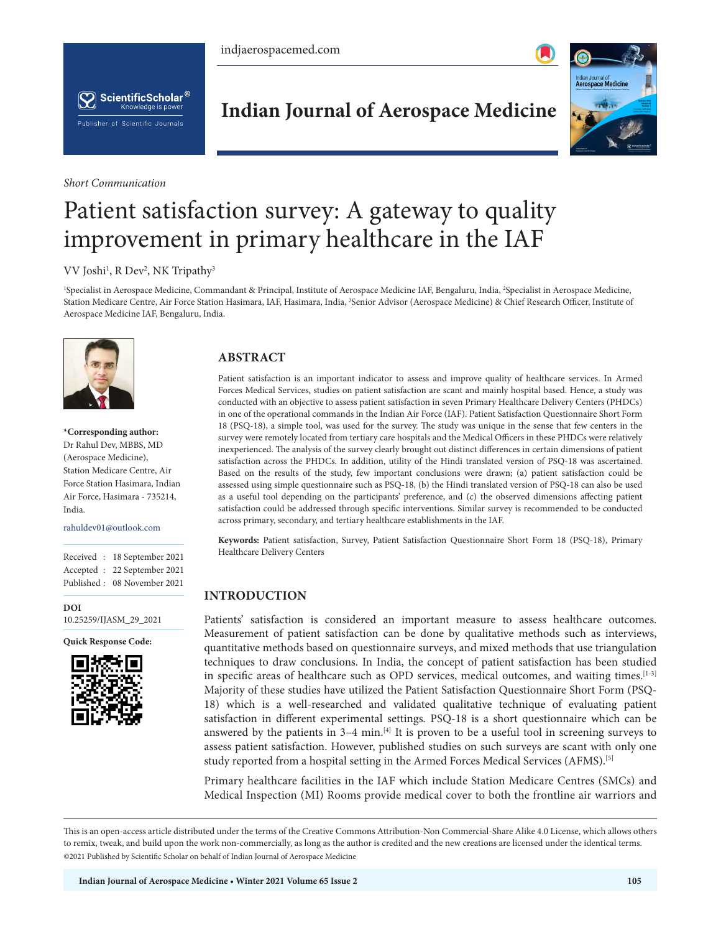indjaerospacemed.com





*Short Communication*

# **Indian Journal of Aerospace Medicine**



# Patient satisfaction survey: A gateway to quality improvement in primary healthcare in the IAF

### VV Joshi<sup>1</sup>, R Dev<sup>2</sup>, NK Tripathy<sup>3</sup>

<sup>1</sup>Specialist in Aerospace Medicine, Commandant & Principal, Institute of Aerospace Medicine IAF, Bengaluru, India, <sup>2</sup>Specialist in Aerospace Medicine, Station Medicare Centre, Air Force Station Hasimara, IAF, Hasimara, India, <sup>3</sup>Senior Advisor (Aerospace Medicine) & Chief Research Officer, Institute of Aerospace Medicine IAF, Bengaluru, India.



**\*Corresponding author:** Dr Rahul Dev, MBBS, MD (Aerospace Medicine), Station Medicare Centre, Air Force Station Hasimara, Indian Air Force, Hasimara - 735214, India.

rahuldev01@outlook.com

Received : 18 September 2021 Accepted : 22 September 2021 Published : 08 November 2021

**DOI** [10.25259/IJASM\\_29\\_2021](https://dx.doi.org/10.25259/IJASM_29_2021)

**Quick Response Code:**



# **ABSTRACT**

Patient satisfaction is an important indicator to assess and improve quality of healthcare services. In Armed Forces Medical Services, studies on patient satisfaction are scant and mainly hospital based. Hence, a study was conducted with an objective to assess patient satisfaction in seven Primary Healthcare Delivery Centers (PHDCs) in one of the operational commands in the Indian Air Force (IAF). Patient Satisfaction Questionnaire Short Form 18 (PSQ-18), a simple tool, was used for the survey. The study was unique in the sense that few centers in the survey were remotely located from tertiary care hospitals and the Medical Officers in these PHDCs were relatively inexperienced. The analysis of the survey clearly brought out distinct differences in certain dimensions of patient satisfaction across the PHDCs. In addition, utility of the Hindi translated version of PSQ-18 was ascertained. Based on the results of the study, few important conclusions were drawn; (a) patient satisfaction could be assessed using simple questionnaire such as PSQ-18, (b) the Hindi translated version of PSQ-18 can also be used as a useful tool depending on the participants' preference, and (c) the observed dimensions affecting patient satisfaction could be addressed through specific interventions. Similar survey is recommended to be conducted across primary, secondary, and tertiary healthcare establishments in the IAF.

**Keywords:** Patient satisfaction, Survey, Patient Satisfaction Questionnaire Short Form 18 (PSQ-18), Primary Healthcare Delivery Centers

# **INTRODUCTION**

Patients' satisfaction is considered an important measure to assess healthcare outcomes. Measurement of patient satisfaction can be done by qualitative methods such as interviews, quantitative methods based on questionnaire surveys, and mixed methods that use triangulation techniques to draw conclusions. In India, the concept of patient satisfaction has been studied in specific areas of healthcare such as OPD services, medical outcomes, and waiting times.<sup>[1-3]</sup> Majority of these studies have utilized the Patient Satisfaction Questionnaire Short Form (PSQ-18) which is a well-researched and validated qualitative technique of evaluating patient satisfaction in different experimental settings. PSQ-18 is a short questionnaire which can be answered by the patients in 3-4 min.<sup>[4]</sup> It is proven to be a useful tool in screening surveys to assess patient satisfaction. However, published studies on such surveys are scant with only one study reported from a hospital setting in the Armed Forces Medical Services (AFMS).<sup>[5]</sup>

Primary healthcare facilities in the IAF which include Station Medicare Centres (SMCs) and Medical Inspection (MI) Rooms provide medical cover to both the frontline air warriors and

This is an open-access article distributed under the terms of the Creative Commons Attribution-Non Commercial-Share Alike 4.0 License, which allows others to remix, tweak, and build upon the work non-commercially, as long as the author is credited and the new creations are licensed under the identical terms. ©2021 Published by Scientific Scholar on behalf of Indian Journal of Aerospace Medicine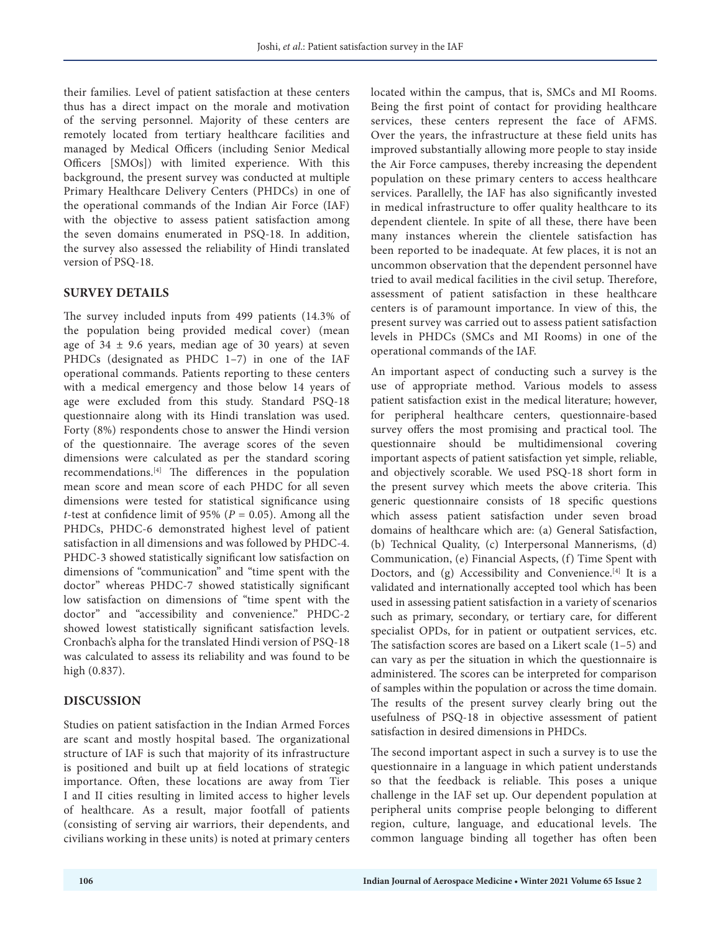their families. Level of patient satisfaction at these centers thus has a direct impact on the morale and motivation of the serving personnel. Majority of these centers are remotely located from tertiary healthcare facilities and managed by Medical Officers (including Senior Medical Officers [SMOs]) with limited experience. With this background, the present survey was conducted at multiple Primary Healthcare Delivery Centers (PHDCs) in one of the operational commands of the Indian Air Force (IAF) with the objective to assess patient satisfaction among the seven domains enumerated in PSQ-18. In addition, the survey also assessed the reliability of Hindi translated version of PSQ-18.

#### **SURVEY DETAILS**

The survey included inputs from 499 patients (14.3% of the population being provided medical cover) (mean age of  $34 \pm 9.6$  years, median age of 30 years) at seven PHDCs (designated as PHDC 1–7) in one of the IAF operational commands. Patients reporting to these centers with a medical emergency and those below 14 years of age were excluded from this study. Standard PSQ-18 questionnaire along with its Hindi translation was used. Forty (8%) respondents chose to answer the Hindi version of the questionnaire. The average scores of the seven dimensions were calculated as per the standard scoring recommendations.[4] The differences in the population mean score and mean score of each PHDC for all seven dimensions were tested for statistical significance using *t*-test at confidence limit of 95% ( $P = 0.05$ ). Among all the PHDCs, PHDC-6 demonstrated highest level of patient satisfaction in all dimensions and was followed by PHDC-4. PHDC-3 showed statistically significant low satisfaction on dimensions of "communication" and "time spent with the doctor" whereas PHDC-7 showed statistically significant low satisfaction on dimensions of "time spent with the doctor" and "accessibility and convenience." PHDC-2 showed lowest statistically significant satisfaction levels. Cronbach's alpha for the translated Hindi version of PSQ-18 was calculated to assess its reliability and was found to be high (0.837).

# **DISCUSSION**

Studies on patient satisfaction in the Indian Armed Forces are scant and mostly hospital based. The organizational structure of IAF is such that majority of its infrastructure is positioned and built up at field locations of strategic importance. Often, these locations are away from Tier I and II cities resulting in limited access to higher levels of healthcare. As a result, major footfall of patients (consisting of serving air warriors, their dependents, and civilians working in these units) is noted at primary centers

located within the campus, that is, SMCs and MI Rooms. Being the first point of contact for providing healthcare services, these centers represent the face of AFMS. Over the years, the infrastructure at these field units has improved substantially allowing more people to stay inside the Air Force campuses, thereby increasing the dependent population on these primary centers to access healthcare services. Parallelly, the IAF has also significantly invested in medical infrastructure to offer quality healthcare to its dependent clientele. In spite of all these, there have been many instances wherein the clientele satisfaction has been reported to be inadequate. At few places, it is not an uncommon observation that the dependent personnel have tried to avail medical facilities in the civil setup. Therefore, assessment of patient satisfaction in these healthcare centers is of paramount importance. In view of this, the present survey was carried out to assess patient satisfaction levels in PHDCs (SMCs and MI Rooms) in one of the operational commands of the IAF.

An important aspect of conducting such a survey is the use of appropriate method. Various models to assess patient satisfaction exist in the medical literature; however, for peripheral healthcare centers, questionnaire-based survey offers the most promising and practical tool. The questionnaire should be multidimensional covering important aspects of patient satisfaction yet simple, reliable, and objectively scorable. We used PSQ-18 short form in the present survey which meets the above criteria. This generic questionnaire consists of 18 specific questions which assess patient satisfaction under seven broad domains of healthcare which are: (a) General Satisfaction, (b) Technical Quality, (c) Interpersonal Mannerisms, (d) Communication, (e) Financial Aspects, (f) Time Spent with Doctors, and (g) Accessibility and Convenience.<sup>[4]</sup> It is a validated and internationally accepted tool which has been used in assessing patient satisfaction in a variety of scenarios such as primary, secondary, or tertiary care, for different specialist OPDs, for in patient or outpatient services, etc. The satisfaction scores are based on a Likert scale (1–5) and can vary as per the situation in which the questionnaire is administered. The scores can be interpreted for comparison of samples within the population or across the time domain. The results of the present survey clearly bring out the usefulness of PSQ-18 in objective assessment of patient satisfaction in desired dimensions in PHDCs.

The second important aspect in such a survey is to use the questionnaire in a language in which patient understands so that the feedback is reliable. This poses a unique challenge in the IAF set up. Our dependent population at peripheral units comprise people belonging to different region, culture, language, and educational levels. The common language binding all together has often been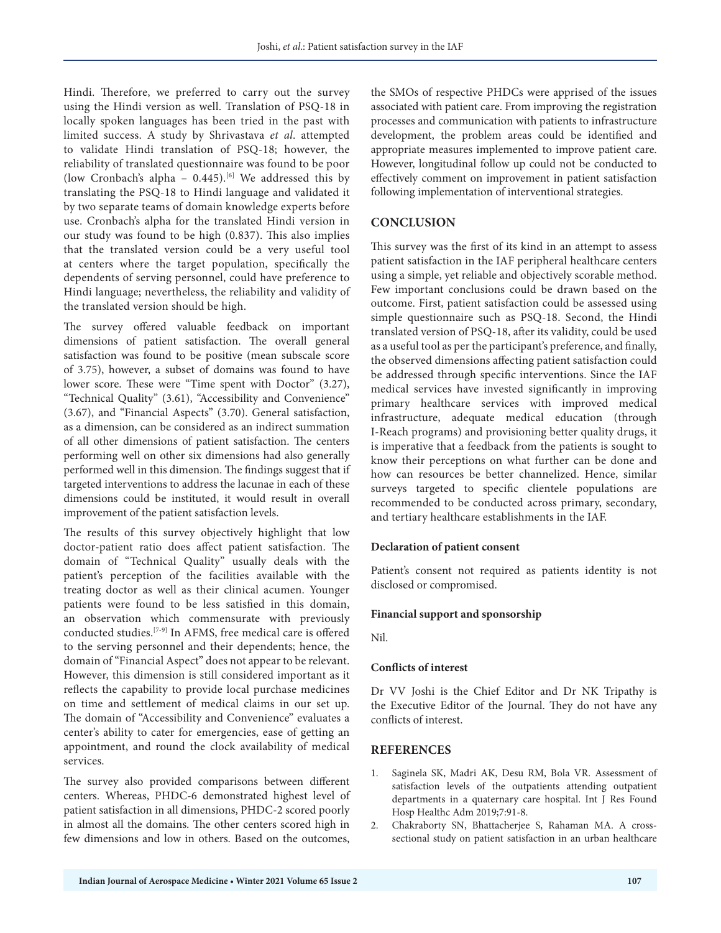Hindi. Therefore, we preferred to carry out the survey using the Hindi version as well. Translation of PSQ-18 in locally spoken languages has been tried in the past with limited success. A study by Shrivastava *et al*. attempted to validate Hindi translation of PSQ-18; however, the reliability of translated questionnaire was found to be poor (low Cronbach's alpha -  $0.445$ ).<sup>[6]</sup> We addressed this by translating the PSQ-18 to Hindi language and validated it by two separate teams of domain knowledge experts before use. Cronbach's alpha for the translated Hindi version in our study was found to be high (0.837). This also implies that the translated version could be a very useful tool at centers where the target population, specifically the dependents of serving personnel, could have preference to Hindi language; nevertheless, the reliability and validity of the translated version should be high.

The survey offered valuable feedback on important dimensions of patient satisfaction. The overall general satisfaction was found to be positive (mean subscale score of 3.75), however, a subset of domains was found to have lower score. These were "Time spent with Doctor" (3.27), "Technical Quality" (3.61), "Accessibility and Convenience" (3.67), and "Financial Aspects" (3.70). General satisfaction, as a dimension, can be considered as an indirect summation of all other dimensions of patient satisfaction. The centers performing well on other six dimensions had also generally performed well in this dimension. The findings suggest that if targeted interventions to address the lacunae in each of these dimensions could be instituted, it would result in overall improvement of the patient satisfaction levels.

The results of this survey objectively highlight that low doctor-patient ratio does affect patient satisfaction. The domain of "Technical Quality" usually deals with the patient's perception of the facilities available with the treating doctor as well as their clinical acumen. Younger patients were found to be less satisfied in this domain, an observation which commensurate with previously conducted studies.[7-9] In AFMS, free medical care is offered to the serving personnel and their dependents; hence, the domain of "Financial Aspect" does not appear to be relevant. However, this dimension is still considered important as it reflects the capability to provide local purchase medicines on time and settlement of medical claims in our set up. The domain of "Accessibility and Convenience" evaluates a center's ability to cater for emergencies, ease of getting an appointment, and round the clock availability of medical services.

The survey also provided comparisons between different centers. Whereas, PHDC-6 demonstrated highest level of patient satisfaction in all dimensions, PHDC-2 scored poorly in almost all the domains. The other centers scored high in few dimensions and low in others. Based on the outcomes,

the SMOs of respective PHDCs were apprised of the issues associated with patient care. From improving the registration processes and communication with patients to infrastructure development, the problem areas could be identified and appropriate measures implemented to improve patient care. However, longitudinal follow up could not be conducted to effectively comment on improvement in patient satisfaction following implementation of interventional strategies.

## **CONCLUSION**

This survey was the first of its kind in an attempt to assess patient satisfaction in the IAF peripheral healthcare centers using a simple, yet reliable and objectively scorable method. Few important conclusions could be drawn based on the outcome. First, patient satisfaction could be assessed using simple questionnaire such as PSQ-18. Second, the Hindi translated version of PSQ-18, after its validity, could be used as a useful tool as per the participant's preference, and finally, the observed dimensions affecting patient satisfaction could be addressed through specific interventions. Since the IAF medical services have invested significantly in improving primary healthcare services with improved medical infrastructure, adequate medical education (through I-Reach programs) and provisioning better quality drugs, it is imperative that a feedback from the patients is sought to know their perceptions on what further can be done and how can resources be better channelized. Hence, similar surveys targeted to specific clientele populations are recommended to be conducted across primary, secondary, and tertiary healthcare establishments in the IAF.

#### **Declaration of patient consent**

Patient's consent not required as patients identity is not disclosed or compromised.

#### **Financial support and sponsorship**

Nil.

#### **Conflicts of interest**

Dr VV Joshi is the Chief Editor and Dr NK Tripathy is the Executive Editor of the Journal. They do not have any conflicts of interest.

#### **REFERENCES**

- 1. Saginela SK, Madri AK, Desu RM, Bola VR. Assessment of satisfaction levels of the outpatients attending outpatient departments in a quaternary care hospital. Int J Res Found Hosp Healthc Adm 2019;7:91-8.
- 2. Chakraborty SN, Bhattacherjee S, Rahaman MA. A crosssectional study on patient satisfaction in an urban healthcare